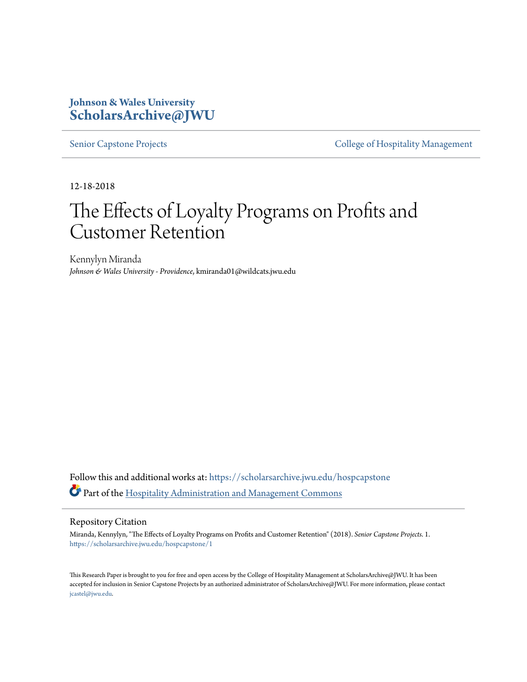# **Johnson & Wales University [ScholarsArchive@JWU](https://scholarsarchive.jwu.edu?utm_source=scholarsarchive.jwu.edu%2Fhospcapstone%2F1&utm_medium=PDF&utm_campaign=PDFCoverPages)**

[Senior Capstone Projects](https://scholarsarchive.jwu.edu/hospcapstone?utm_source=scholarsarchive.jwu.edu%2Fhospcapstone%2F1&utm_medium=PDF&utm_campaign=PDFCoverPages) **[College of Hospitality Management](https://scholarsarchive.jwu.edu/hosp_coll?utm_source=scholarsarchive.jwu.edu%2Fhospcapstone%2F1&utm_medium=PDF&utm_campaign=PDFCoverPages)** 

12-18-2018

# The Effects of Loyalty Programs on Profits and Customer Retention

Kennylyn Miranda *Johnson & Wales University - Providence*, kmiranda01@wildcats.jwu.edu

Follow this and additional works at: [https://scholarsarchive.jwu.edu/hospcapstone](https://scholarsarchive.jwu.edu/hospcapstone?utm_source=scholarsarchive.jwu.edu%2Fhospcapstone%2F1&utm_medium=PDF&utm_campaign=PDFCoverPages) Part of the [Hospitality Administration and Management Commons](http://network.bepress.com/hgg/discipline/632?utm_source=scholarsarchive.jwu.edu%2Fhospcapstone%2F1&utm_medium=PDF&utm_campaign=PDFCoverPages)

#### Repository Citation

Miranda, Kennylyn, "The Effects of Loyalty Programs on Profits and Customer Retention" (2018). *Senior Capstone Projects*. 1. [https://scholarsarchive.jwu.edu/hospcapstone/1](https://scholarsarchive.jwu.edu/hospcapstone/1?utm_source=scholarsarchive.jwu.edu%2Fhospcapstone%2F1&utm_medium=PDF&utm_campaign=PDFCoverPages)

This Research Paper is brought to you for free and open access by the College of Hospitality Management at ScholarsArchive@JWU. It has been accepted for inclusion in Senior Capstone Projects by an authorized administrator of ScholarsArchive@JWU. For more information, please contact [jcastel@jwu.edu.](mailto:jcastel@jwu.edu)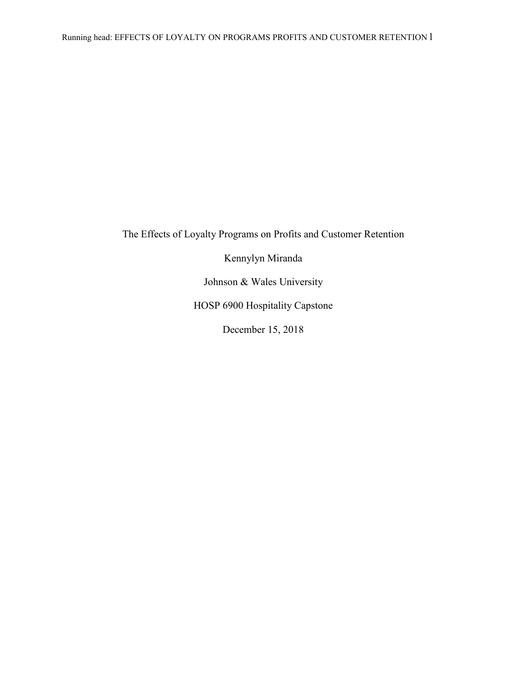The Effects of Loyalty Programs on Profits and Customer Retention

Kennylyn Miranda

Johnson & Wales University

HOSP 6900 Hospitality Capstone

December 15, 2018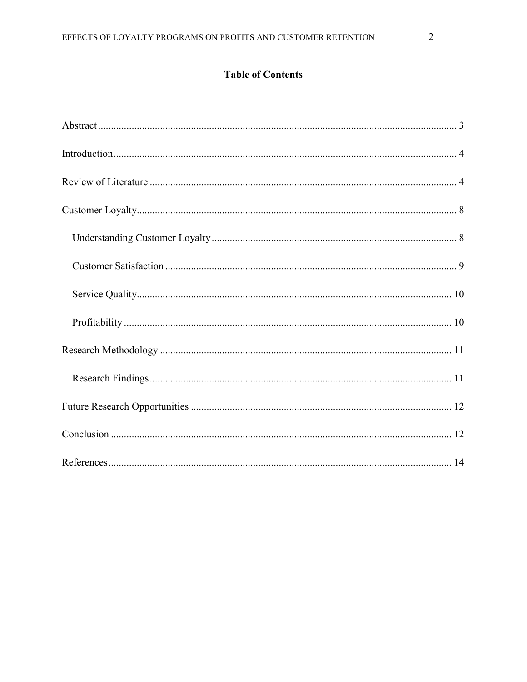# **Table of Contents**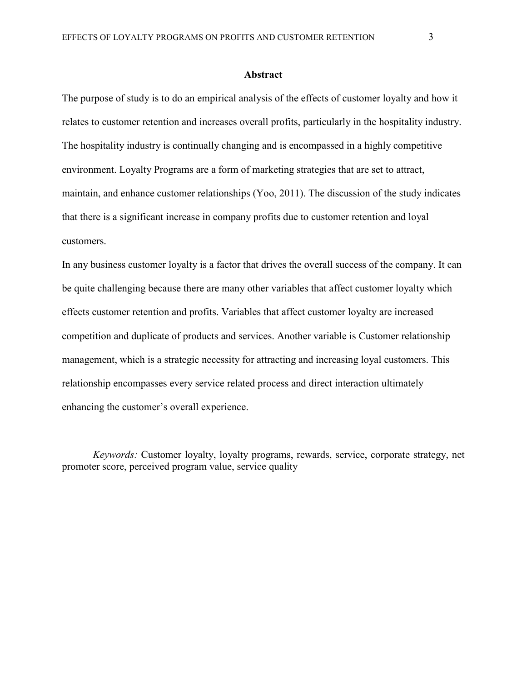#### **Abstract**

The purpose of study is to do an empirical analysis of the effects of customer loyalty and how it relates to customer retention and increases overall profits, particularly in the hospitality industry. The hospitality industry is continually changing and is encompassed in a highly competitive environment. Loyalty Programs are a form of marketing strategies that are set to attract, maintain, and enhance customer relationships (Yoo, 2011). The discussion of the study indicates that there is a significant increase in company profits due to customer retention and loyal customers.

In any business customer loyalty is a factor that drives the overall success of the company. It can be quite challenging because there are many other variables that affect customer loyalty which effects customer retention and profits. Variables that affect customer loyalty are increased competition and duplicate of products and services. Another variable is Customer relationship management, which is a strategic necessity for attracting and increasing loyal customers. This relationship encompasses every service related process and direct interaction ultimately enhancing the customer's overall experience.

*Keywords:* Customer loyalty, loyalty programs, rewards, service, corporate strategy, net promoter score, perceived program value, service quality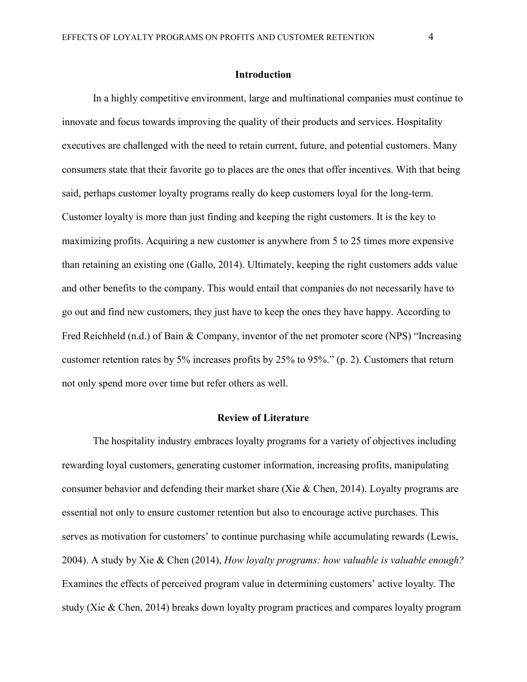#### **Introduction**

In a highly competitive environment, large and multinational companies must continue to innovate and focus towards improving the quality of their products and services. Hospitality executives are challenged with the need to retain current, future, and potential customers. Many consumers state that their favorite go to places are the ones that offer incentives. With that being said, perhaps customer loyalty programs really do keep customers loyal for the long-term. Customer loyalty is more than just finding and keeping the right customers. It is the key to maximizing profits. Acquiring a new customer is anywhere from 5 to 25 times more expensive than retaining an existing one (Gallo, 2014). Ultimately, keeping the right customers adds value and other benefits to the company. This would entail that companies do not necessarily have to go out and find new customers, they just have to keep the ones they have happy. According to Fred Reichheld (n.d.) of Bain & Company, inventor of the net promoter score (NPS) "Increasing customer retention rates by 5% increases profits by 25% to 95%." (p. 2). Customers that return not only spend more over time but refer others as well.

# **Review of Literature**

The hospitality industry embraces loyalty programs for a variety of objectives including rewarding loyal customers, generating customer information, increasing profits, manipulating consumer behavior and defending their market share (Xie & Chen, 2014). Loyalty programs are essential not only to ensure customer retention but also to encourage active purchases. This serves as motivation for customers' to continue purchasing while accumulating rewards (Lewis, 2004). A study by Xie & Chen (2014), *How loyalty programs: how valuable is valuable enough?*  Examines the effects of perceived program value in determining customers' active loyalty. The study (Xie & Chen, 2014) breaks down loyalty program practices and compares loyalty program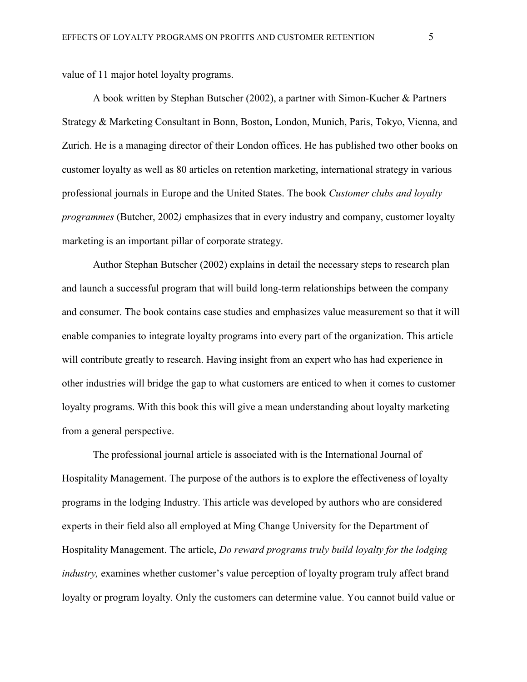value of 11 major hotel loyalty programs.

A book written by Stephan Butscher (2002), a partner with Simon-Kucher & Partners Strategy & Marketing Consultant in Bonn, Boston, London, Munich, Paris, Tokyo, Vienna, and Zurich. He is a managing director of their London offices. He has published two other books on customer loyalty as well as 80 articles on retention marketing, international strategy in various professional journals in Europe and the United States. The book *Customer clubs and loyalty programmes* (Butcher, 2002*)* emphasizes that in every industry and company, customer loyalty marketing is an important pillar of corporate strategy.

Author Stephan Butscher (2002) explains in detail the necessary steps to research plan and launch a successful program that will build long-term relationships between the company and consumer. The book contains case studies and emphasizes value measurement so that it will enable companies to integrate loyalty programs into every part of the organization. This article will contribute greatly to research. Having insight from an expert who has had experience in other industries will bridge the gap to what customers are enticed to when it comes to customer loyalty programs. With this book this will give a mean understanding about loyalty marketing from a general perspective.

The professional journal article is associated with is the International Journal of Hospitality Management. The purpose of the authors is to explore the effectiveness of loyalty programs in the lodging Industry. This article was developed by authors who are considered experts in their field also all employed at Ming Change University for the Department of Hospitality Management. The article, *Do reward programs truly build loyalty for the lodging industry,* examines whether customer's value perception of loyalty program truly affect brand loyalty or program loyalty. Only the customers can determine value. You cannot build value or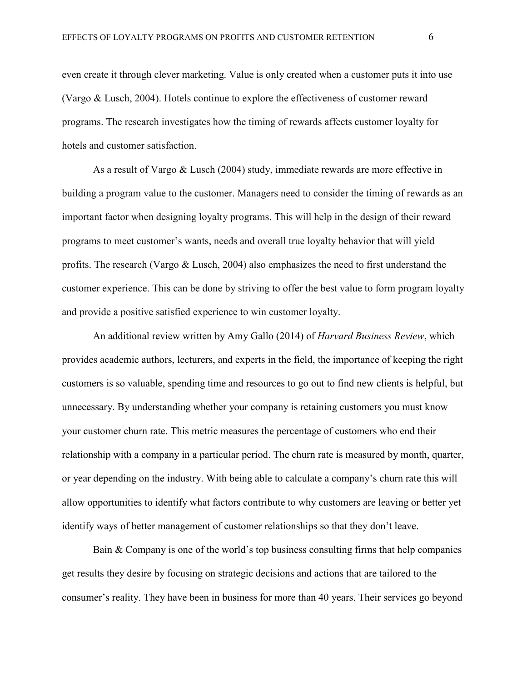even create it through clever marketing. Value is only created when a customer puts it into use (Vargo & Lusch, 2004). Hotels continue to explore the effectiveness of customer reward programs. The research investigates how the timing of rewards affects customer loyalty for hotels and customer satisfaction.

As a result of Vargo & Lusch (2004) study, immediate rewards are more effective in building a program value to the customer. Managers need to consider the timing of rewards as an important factor when designing loyalty programs. This will help in the design of their reward programs to meet customer's wants, needs and overall true loyalty behavior that will yield profits. The research (Vargo & Lusch, 2004) also emphasizes the need to first understand the customer experience. This can be done by striving to offer the best value to form program loyalty and provide a positive satisfied experience to win customer loyalty.

An additional review written by Amy Gallo (2014) of *Harvard Business Review*, which provides academic authors, lecturers, and experts in the field, the importance of keeping the right customers is so valuable, spending time and resources to go out to find new clients is helpful, but unnecessary. By understanding whether your company is retaining customers you must know your customer churn rate. This metric measures the percentage of customers who end their relationship with a company in a particular period. The churn rate is measured by month, quarter, or year depending on the industry. With being able to calculate a company's churn rate this will allow opportunities to identify what factors contribute to why customers are leaving or better yet identify ways of better management of customer relationships so that they don't leave.

Bain & Company is one of the world's top business consulting firms that help companies get results they desire by focusing on strategic decisions and actions that are tailored to the consumer's reality. They have been in business for more than 40 years. Their services go beyond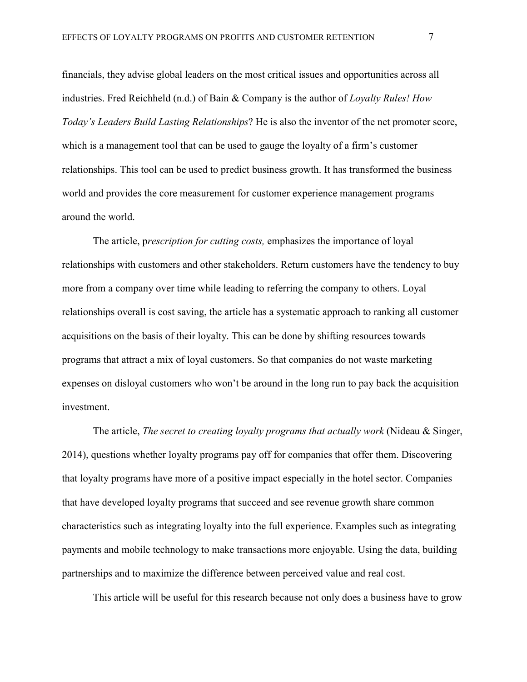financials, they advise global leaders on the most critical issues and opportunities across all industries. Fred Reichheld (n.d.) of Bain & Company is the author of *Loyalty Rules! How Today's Leaders Build Lasting Relationships*? He is also the inventor of the net promoter score, which is a management tool that can be used to gauge the loyalty of a firm's customer relationships. This tool can be used to predict business growth. It has transformed the business world and provides the core measurement for customer experience management programs around the world.

The article, p*rescription for cutting costs,* emphasizes the importance of loyal relationships with customers and other stakeholders. Return customers have the tendency to buy more from a company over time while leading to referring the company to others. Loyal relationships overall is cost saving, the article has a systematic approach to ranking all customer acquisitions on the basis of their loyalty. This can be done by shifting resources towards programs that attract a mix of loyal customers. So that companies do not waste marketing expenses on disloyal customers who won't be around in the long run to pay back the acquisition investment.

The article, *The secret to creating loyalty programs that actually work* (Nideau & Singer, 2014), questions whether loyalty programs pay off for companies that offer them. Discovering that loyalty programs have more of a positive impact especially in the hotel sector. Companies that have developed loyalty programs that succeed and see revenue growth share common characteristics such as integrating loyalty into the full experience. Examples such as integrating payments and mobile technology to make transactions more enjoyable. Using the data, building partnerships and to maximize the difference between perceived value and real cost.

This article will be useful for this research because not only does a business have to grow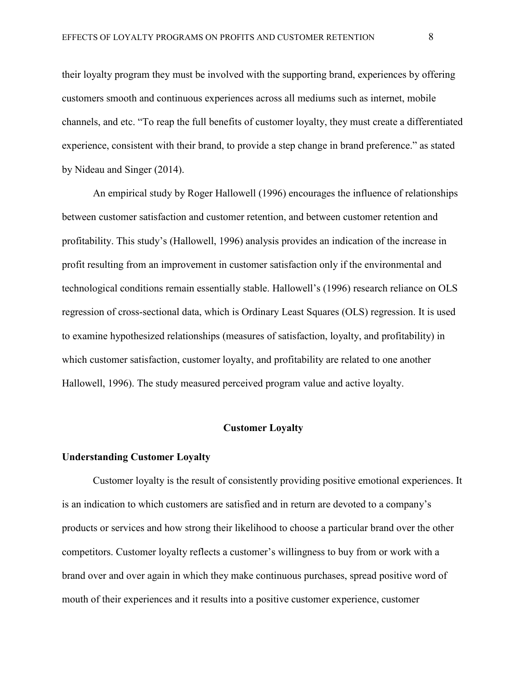their loyalty program they must be involved with the supporting brand, experiences by offering customers smooth and continuous experiences across all mediums such as internet, mobile channels, and etc. "To reap the full benefits of customer loyalty, they must create a differentiated experience, consistent with their brand, to provide a step change in brand preference." as stated by Nideau and Singer (2014).

An empirical study by Roger Hallowell (1996) encourages the influence of relationships between customer satisfaction and customer retention, and between customer retention and profitability. This study's (Hallowell, 1996) analysis provides an indication of the increase in profit resulting from an improvement in customer satisfaction only if the environmental and technological conditions remain essentially stable. Hallowell's (1996) research reliance on OLS regression of cross-sectional data, which is Ordinary Least Squares (OLS) regression. It is used to examine hypothesized relationships (measures of satisfaction, loyalty, and profitability) in which customer satisfaction, customer loyalty, and profitability are related to one another Hallowell, 1996). The study measured perceived program value and active loyalty.

# **Customer Loyalty**

# **Understanding Customer Loyalty**

Customer loyalty is the result of consistently providing positive emotional experiences. It is an indication to which customers are satisfied and in return are devoted to a company's products or services and how strong their likelihood to choose a particular brand over the other competitors. Customer loyalty reflects a customer's willingness to buy from or work with a brand over and over again in which they make continuous purchases, spread positive word of mouth of their experiences and it results into a positive customer experience, customer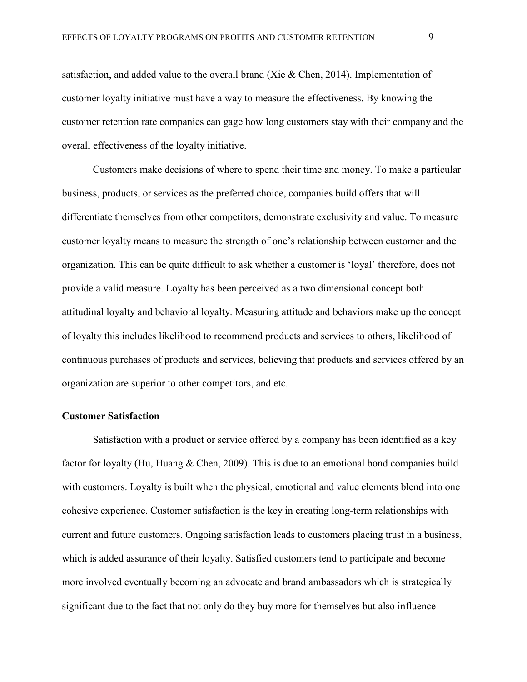satisfaction, and added value to the overall brand (Xie & Chen, 2014). Implementation of customer loyalty initiative must have a way to measure the effectiveness. By knowing the customer retention rate companies can gage how long customers stay with their company and the overall effectiveness of the loyalty initiative.

Customers make decisions of where to spend their time and money. To make a particular business, products, or services as the preferred choice, companies build offers that will differentiate themselves from other competitors, demonstrate exclusivity and value. To measure customer loyalty means to measure the strength of one's relationship between customer and the organization. This can be quite difficult to ask whether a customer is 'loyal' therefore, does not provide a valid measure. Loyalty has been perceived as a two dimensional concept both attitudinal loyalty and behavioral loyalty. Measuring attitude and behaviors make up the concept of loyalty this includes likelihood to recommend products and services to others, likelihood of continuous purchases of products and services, believing that products and services offered by an organization are superior to other competitors, and etc.

#### **Customer Satisfaction**

Satisfaction with a product or service offered by a company has been identified as a key factor for loyalty (Hu, Huang & Chen, 2009). This is due to an emotional bond companies build with customers. Loyalty is built when the physical, emotional and value elements blend into one cohesive experience. Customer satisfaction is the key in creating long-term relationships with current and future customers. Ongoing satisfaction leads to customers placing trust in a business, which is added assurance of their loyalty. Satisfied customers tend to participate and become more involved eventually becoming an advocate and brand ambassadors which is strategically significant due to the fact that not only do they buy more for themselves but also influence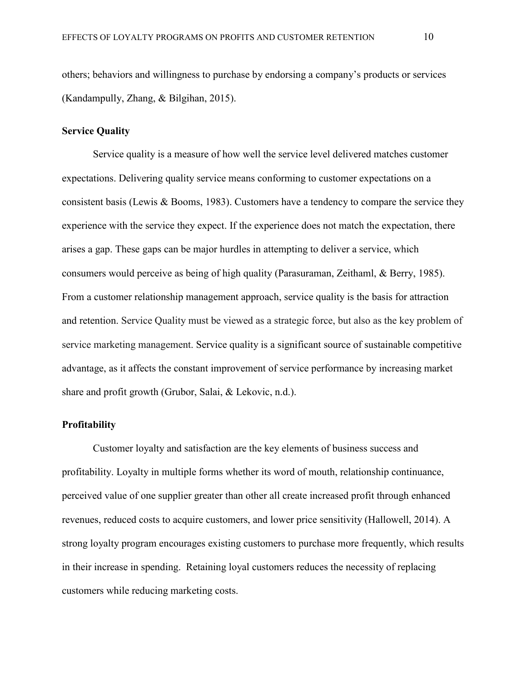others; behaviors and willingness to purchase by endorsing a company's products or services (Kandampully, Zhang, & Bilgihan, 2015).

# **Service Quality**

Service quality is a measure of how well the service level delivered matches customer expectations. Delivering quality service means conforming to customer expectations on a consistent basis (Lewis & Booms, 1983). Customers have a tendency to compare the service they experience with the service they expect. If the experience does not match the expectation, there arises a gap. These gaps can be major hurdles in attempting to deliver a service, which consumers would perceive as being of high quality (Parasuraman, Zeithaml, & Berry, 1985). From a customer relationship management approach, service quality is the basis for attraction and retention. Service Quality must be viewed as a strategic force, but also as the key problem of service marketing management. Service quality is a significant source of sustainable competitive advantage, as it affects the constant improvement of service performance by increasing market share and profit growth (Grubor, Salai, & Lekovic, n.d.).

#### **Profitability**

Customer loyalty and satisfaction are the key elements of business success and profitability. Loyalty in multiple forms whether its word of mouth, relationship continuance, perceived value of one supplier greater than other all create increased profit through enhanced revenues, reduced costs to acquire customers, and lower price sensitivity (Hallowell, 2014). A strong loyalty program encourages existing customers to purchase more frequently, which results in their increase in spending. Retaining loyal customers reduces the necessity of replacing customers while reducing marketing costs.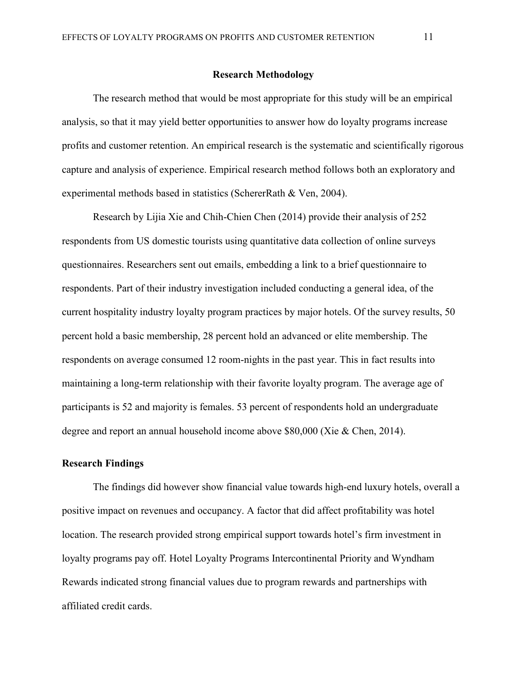#### **Research Methodology**

The research method that would be most appropriate for this study will be an empirical analysis, so that it may yield better opportunities to answer how do loyalty programs increase profits and customer retention. An empirical research is the systematic and scientifically rigorous capture and analysis of experience. Empirical research method follows both an exploratory and experimental methods based in statistics (SchererRath & Ven, 2004).

Research by Lijia Xie and Chih-Chien Chen (2014) provide their analysis of 252 respondents from US domestic tourists using quantitative data collection of online surveys questionnaires. Researchers sent out emails, embedding a link to a brief questionnaire to respondents. Part of their industry investigation included conducting a general idea, of the current hospitality industry loyalty program practices by major hotels. Of the survey results, 50 percent hold a basic membership, 28 percent hold an advanced or elite membership. The respondents on average consumed 12 room-nights in the past year. This in fact results into maintaining a long-term relationship with their favorite loyalty program. The average age of participants is 52 and majority is females. 53 percent of respondents hold an undergraduate degree and report an annual household income above \$80,000 (Xie & Chen, 2014).

# **Research Findings**

The findings did however show financial value towards high-end luxury hotels, overall a positive impact on revenues and occupancy. A factor that did affect profitability was hotel location. The research provided strong empirical support towards hotel's firm investment in loyalty programs pay off. Hotel Loyalty Programs Intercontinental Priority and Wyndham Rewards indicated strong financial values due to program rewards and partnerships with affiliated credit cards.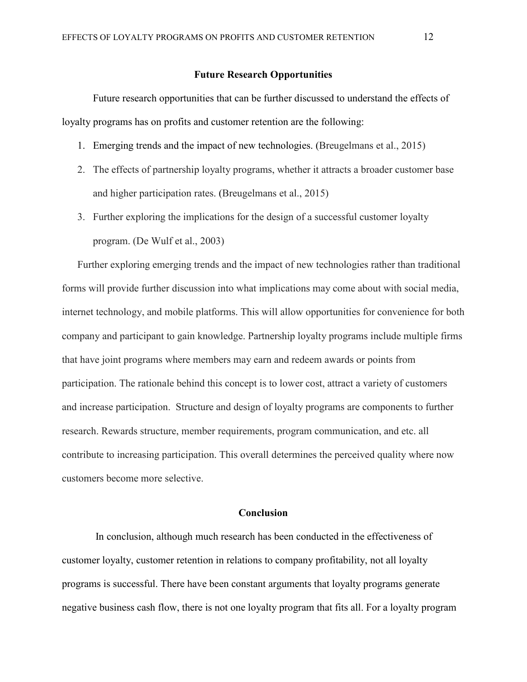#### **Future Research Opportunities**

Future research opportunities that can be further discussed to understand the effects of loyalty programs has on profits and customer retention are the following:

- 1. Emerging trends and the impact of new technologies. (Breugelmans et al., 2015)
- 2. The effects of partnership loyalty programs, whether it attracts a broader customer base and higher participation rates. (Breugelmans et al., 2015)
- 3. Further exploring the implications for the design of a successful customer loyalty program. (De Wulf et al., 2003)

Further exploring emerging trends and the impact of new technologies rather than traditional forms will provide further discussion into what implications may come about with social media, internet technology, and mobile platforms. This will allow opportunities for convenience for both company and participant to gain knowledge. Partnership loyalty programs include multiple firms that have joint programs where members may earn and redeem awards or points from participation. The rationale behind this concept is to lower cost, attract a variety of customers and increase participation. Structure and design of loyalty programs are components to further research. Rewards structure, member requirements, program communication, and etc. all contribute to increasing participation. This overall determines the perceived quality where now customers become more selective.

# **Conclusion**

In conclusion, although much research has been conducted in the effectiveness of customer loyalty, customer retention in relations to company profitability, not all loyalty programs is successful. There have been constant arguments that loyalty programs generate negative business cash flow, there is not one loyalty program that fits all. For a loyalty program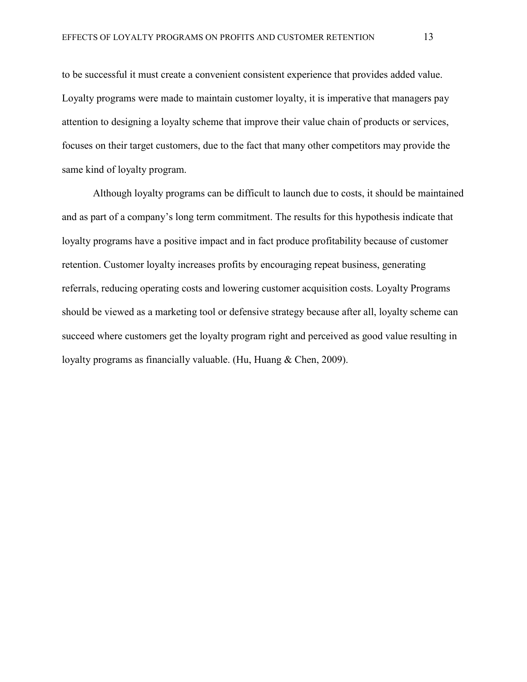to be successful it must create a convenient consistent experience that provides added value. Loyalty programs were made to maintain customer loyalty, it is imperative that managers pay attention to designing a loyalty scheme that improve their value chain of products or services, focuses on their target customers, due to the fact that many other competitors may provide the same kind of loyalty program.

Although loyalty programs can be difficult to launch due to costs, it should be maintained and as part of a company's long term commitment. The results for this hypothesis indicate that loyalty programs have a positive impact and in fact produce profitability because of customer retention. Customer loyalty increases profits by encouraging repeat business, generating referrals, reducing operating costs and lowering customer acquisition costs. Loyalty Programs should be viewed as a marketing tool or defensive strategy because after all, loyalty scheme can succeed where customers get the loyalty program right and perceived as good value resulting in loyalty programs as financially valuable. (Hu, Huang & Chen, 2009).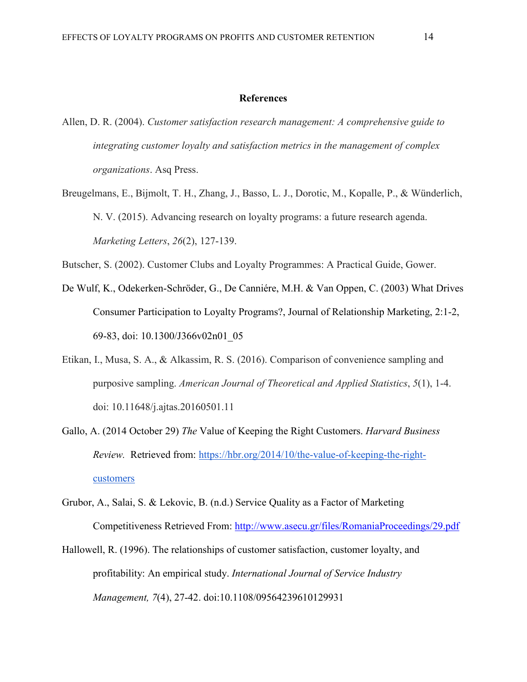#### **References**

- Allen, D. R. (2004). *Customer satisfaction research management: A comprehensive guide to integrating customer loyalty and satisfaction metrics in the management of complex organizations*. Asq Press.
- Breugelmans, E., Bijmolt, T. H., Zhang, J., Basso, L. J., Dorotic, M., Kopalle, P., & Wünderlich, N. V. (2015). Advancing research on loyalty programs: a future research agenda. *Marketing Letters*, *26*(2), 127-139.

Butscher, S. (2002). Customer Clubs and Loyalty Programmes: A Practical Guide, Gower.

- De Wulf, K., Odekerken-Schröder, G., De Canniére, M.H. & Van Oppen, C. (2003) What Drives Consumer Participation to Loyalty Programs?, Journal of Relationship Marketing, 2:1-2, 69-83, doi: [10.1300/J366v02n01\\_05](https://doi.org/10.1300/J366v02n01_05)
- Etikan, I., Musa, S. A., & Alkassim, R. S. (2016). Comparison of convenience sampling and purposive sampling. *American Journal of Theoretical and Applied Statistics*, *5*(1), 1-4. doi: 10.11648/j.ajtas.20160501.11
- Gallo, A. (2014 October 29) *The* Value of Keeping the Right Customers. *Harvard Business Review.* Retrieved from: [https://hbr.org/2014/10/the-value-of-keeping-the-right](https://hbr.org/2014/10/the-value-of-keeping-the-right-customers)[customers](https://hbr.org/2014/10/the-value-of-keeping-the-right-customers)
- Grubor, A., Salai, S. & Lekovic, B. (n.d.) Service Quality as a Factor of Marketing Competitiveness Retrieved From:<http://www.asecu.gr/files/RomaniaProceedings/29.pdf>
- Hallowell, R. (1996). The relationships of customer satisfaction, customer loyalty, and profitability: An empirical study. *International Journal of Service Industry Management, 7*(4), 27-42. doi:10.1108/09564239610129931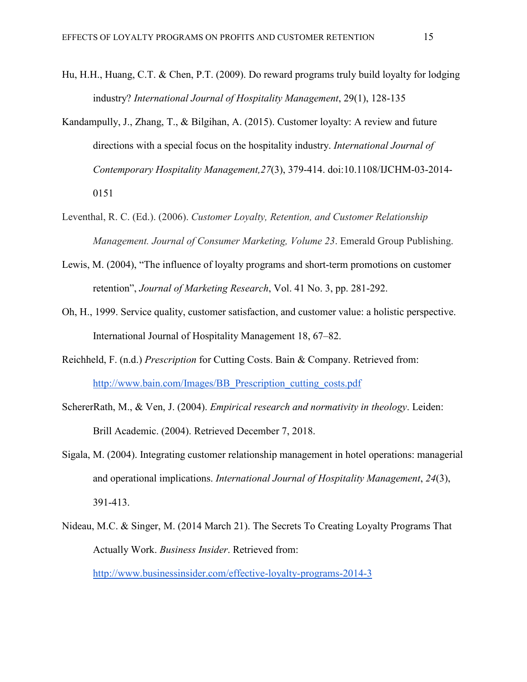- Hu, H.H., Huang, C.T. & Chen, P.T. (2009). Do reward programs truly build loyalty for lodging industry? *International Journal of Hospitality Management*, 29(1), 128-135
- Kandampully, J., Zhang, T., & Bilgihan, A. (2015). Customer loyalty: A review and future directions with a special focus on the hospitality industry. *International Journal of Contemporary Hospitality Management,27*(3), 379-414. doi:10.1108/IJCHM-03-2014- 0151
- Leventhal, R. C. (Ed.). (2006). *Customer Loyalty, Retention, and Customer Relationship Management. Journal of Consumer Marketing, Volume 23*. Emerald Group Publishing.
- Lewis, M. (2004), "The influence of loyalty programs and short-term promotions on customer retention", *Journal of Marketing Research*, Vol. 41 No. 3, pp. 281-292.
- Oh, H., 1999. Service quality, customer satisfaction, and customer value: a holistic perspective. International Journal of Hospitality Management 18, 67–82.
- Reichheld, F. (n.d.) *Prescription* for Cutting Costs. Bain & Company. Retrieved from: [http://www.bain.com/Images/BB\\_Prescription\\_cutting\\_costs.pdf](http://www.bain.com/Images/BB_Prescription_cutting_costs.pdf)
- SchererRath, M., & Ven, J. (2004). *Empirical research and normativity in theology*. Leiden: Brill Academic. (2004). Retrieved December 7, 2018.
- Sigala, M. (2004). Integrating customer relationship management in hotel operations: managerial and operational implications. *International Journal of Hospitality Management*, *24*(3), 391-413.
- Nideau, M.C. & Singer, M. (2014 March 21). The Secrets To Creating Loyalty Programs That Actually Work. *Business Insider*. Retrieved from:

<http://www.businessinsider.com/effective-loyalty-programs-2014-3>